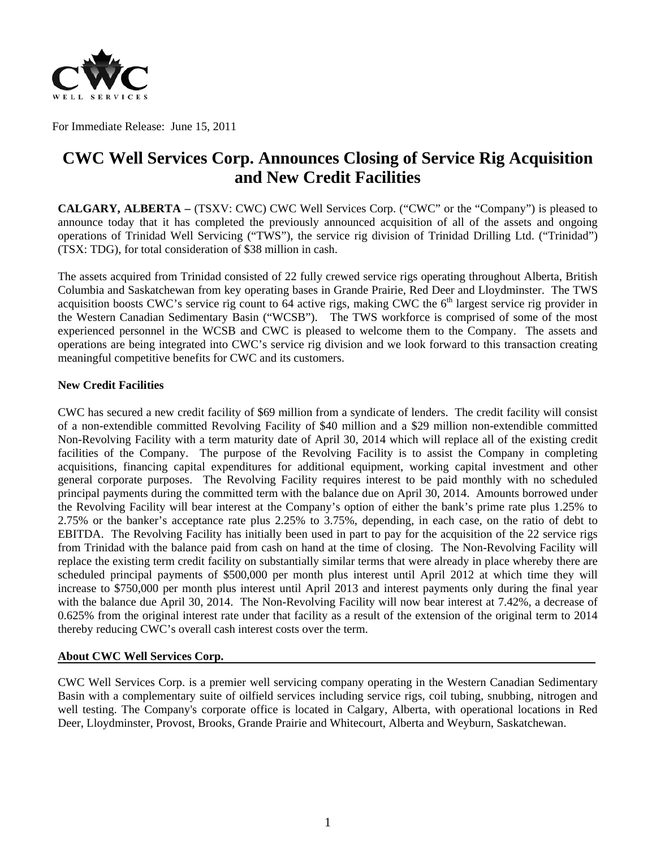

For Immediate Release: June 15, 2011

# **CWC Well Services Corp. Announces Closing of Service Rig Acquisition and New Credit Facilities**

**CALGARY, ALBERTA –** (TSXV: CWC) CWC Well Services Corp. ("CWC" or the "Company") is pleased to announce today that it has completed the previously announced acquisition of all of the assets and ongoing operations of Trinidad Well Servicing ("TWS"), the service rig division of Trinidad Drilling Ltd. ("Trinidad") (TSX: TDG), for total consideration of \$38 million in cash.

The assets acquired from Trinidad consisted of 22 fully crewed service rigs operating throughout Alberta, British Columbia and Saskatchewan from key operating bases in Grande Prairie, Red Deer and Lloydminster. The TWS acquisition boosts CWC's service rig count to  $64$  active rigs, making CWC the  $6<sup>th</sup>$  largest service rig provider in the Western Canadian Sedimentary Basin ("WCSB"). The TWS workforce is comprised of some of the most experienced personnel in the WCSB and CWC is pleased to welcome them to the Company. The assets and operations are being integrated into CWC's service rig division and we look forward to this transaction creating meaningful competitive benefits for CWC and its customers.

#### **New Credit Facilities**

CWC has secured a new credit facility of \$69 million from a syndicate of lenders. The credit facility will consist of a non-extendible committed Revolving Facility of \$40 million and a \$29 million non-extendible committed Non-Revolving Facility with a term maturity date of April 30, 2014 which will replace all of the existing credit facilities of the Company. The purpose of the Revolving Facility is to assist the Company in completing acquisitions, financing capital expenditures for additional equipment, working capital investment and other general corporate purposes. The Revolving Facility requires interest to be paid monthly with no scheduled principal payments during the committed term with the balance due on April 30, 2014. Amounts borrowed under the Revolving Facility will bear interest at the Company's option of either the bank's prime rate plus 1.25% to 2.75% or the banker's acceptance rate plus 2.25% to 3.75%, depending, in each case, on the ratio of debt to EBITDA. The Revolving Facility has initially been used in part to pay for the acquisition of the 22 service rigs from Trinidad with the balance paid from cash on hand at the time of closing. The Non-Revolving Facility will replace the existing term credit facility on substantially similar terms that were already in place whereby there are scheduled principal payments of \$500,000 per month plus interest until April 2012 at which time they will increase to \$750,000 per month plus interest until April 2013 and interest payments only during the final year with the balance due April 30, 2014. The Non-Revolving Facility will now bear interest at 7.42%, a decrease of 0.625% from the original interest rate under that facility as a result of the extension of the original term to 2014 thereby reducing CWC's overall cash interest costs over the term.

### **About CWC Well Services Corp.**

CWC Well Services Corp. is a premier well servicing company operating in the Western Canadian Sedimentary Basin with a complementary suite of oilfield services including service rigs, coil tubing, snubbing, nitrogen and well testing. The Company's corporate office is located in Calgary, Alberta, with operational locations in Red Deer, Lloydminster, Provost, Brooks, Grande Prairie and Whitecourt, Alberta and Weyburn, Saskatchewan.